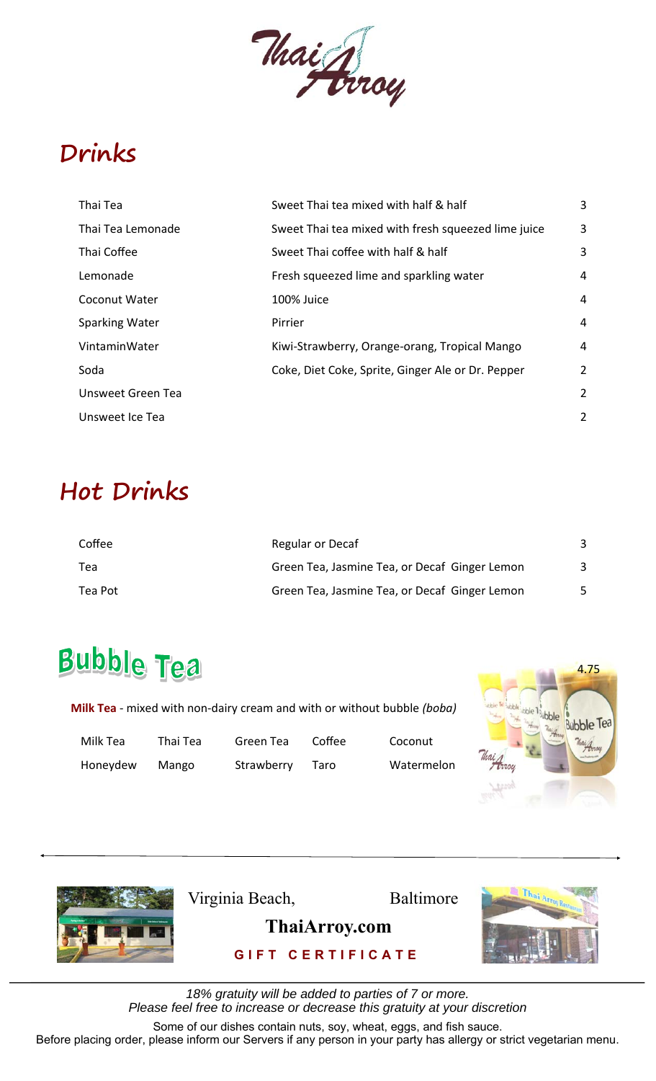

# **Drinks**

| Thai Tea              | Sweet Thai tea mixed with half & half               | 3              |
|-----------------------|-----------------------------------------------------|----------------|
| Thai Tea Lemonade     | Sweet Thai tea mixed with fresh squeezed lime juice | 3              |
| Thai Coffee           | Sweet Thai coffee with half & half                  | 3              |
| Lemonade              | Fresh squeezed lime and sparkling water             | 4              |
| Coconut Water         | 100% Juice                                          | 4              |
| <b>Sparking Water</b> | Pirrier                                             | 4              |
| VintaminWater         | Kiwi-Strawberry, Orange-orang, Tropical Mango       | 4              |
| Soda                  | Coke, Diet Coke, Sprite, Ginger Ale or Dr. Pepper   | $\overline{2}$ |
| Unsweet Green Tea     |                                                     | $\overline{2}$ |
| Unsweet Ice Tea       |                                                     | $\overline{2}$ |

# **Hot Drinks**

| Coffee   | Regular or Decaf                              | 3 |
|----------|-----------------------------------------------|---|
| Tea      | Green Tea, Jasmine Tea, or Decaf Ginger Lemon |   |
| Tea Pot- | Green Tea, Jasmine Tea, or Decaf Ginger Lemon |   |

# **Bubble Tea** 4.75

 **Milk Tea** ‐ mixed with non‐dairy cream and with or without bubble *(boba)*

| Milk Tea | TI |
|----------|----|
| Honeydew | M  |

hai Tea Green Tea Coffee Coconut Aango Strawberry Taro Watermelon





*18% gratuity will be added to parties of 7 or more. Please feel free to increase or decrease this gratuity at your discretion* 

Some of our dishes contain nuts, soy, wheat, eggs, and fish sauce. Before placing order, please inform our Servers if any person in your party has allergy or strict vegetarian menu.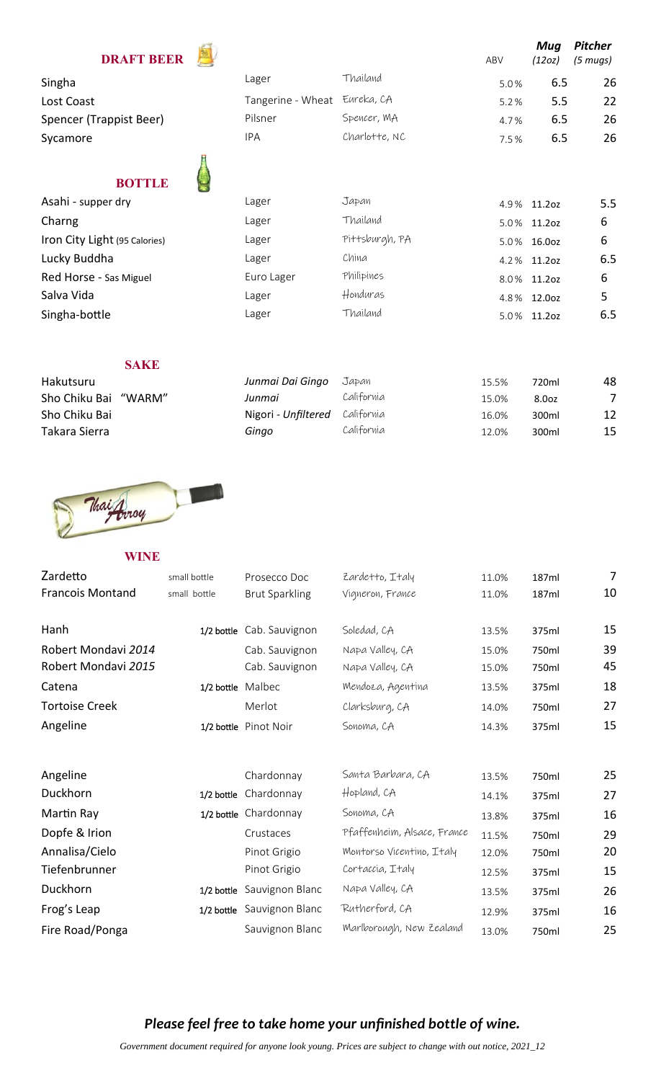#### **DRAFT BEER ABV**



| <b>DRAFT BEER</b>             |                              |                | ABV  | (12oz)      | $(5 \; mugs)$ |
|-------------------------------|------------------------------|----------------|------|-------------|---------------|
| Singha                        | Lager                        | Thailand       | 5.0% | 6.5         | 26            |
| Lost Coast                    | Tangerine - Wheat Eureka, CA |                | 5.2% | 5.5         | 22            |
| Spencer (Trappist Beer)       | Pilsner                      | Spencer, MA    | 4.7% | 6.5         | 26            |
| Sycamore                      | <b>IPA</b>                   | Charlotte, NC  | 7.5% | 6.5         | 26            |
| <b>BOTTLE</b>                 |                              |                |      |             |               |
| Asahi - supper dry            | Lager                        | Japan          |      | 4.9% 11.2oz | 5.5           |
| Charng                        | Lager                        | Thailand       |      | 5.0% 11.2oz | 6             |
| Iron City Light (95 Calories) | Lager                        | Pittsburgh, PA |      | 5.0% 16.0oz | 6             |
| Lucky Buddha                  | Lager                        | China          |      | 4.2% 11.2oz | 6.5           |
| Red Horse - Sas Miguel        | Euro Lager                   | Philipines     |      | 8.0% 11.2oz | 6             |
| Salva Vida                    | Lager                        | Honduras       |      | 4.8% 12.0oz | 5             |
| Singha-bottle                 | Lager                        | Thailand       |      | 5.0% 11.2oz | 6.5           |
|                               |                              |                |      |             |               |

 *Mug*

*Pitcher* 

| Hakutsuru               | Junmai Dai Gingo               | Japan      | 15.5% | 720ml | 48 |
|-------------------------|--------------------------------|------------|-------|-------|----|
| Sho Chiku Bai<br>"WARM" | Junmai                         | California | 15.0% | 8.0oz |    |
| Sho Chiku Bai           | Nigori - Unfiltered California |            | 16.0% | 300ml | 12 |
| Takara Sierra           | Gingo                          | California | 12.0% | 300ml | 15 |

**SAKE** 

**WINE** 



 $Zardetto$   $small$   $small$   $bottle$   $Prosecco$   $Doc$   $Zarderto$ ,  $I-taly$   $11.0%$   $187ml$   $7$ Francois Montand small bottle Brut Sparkling Vigneron, France 11.0% 187ml 10 Hanh 1/2 boƩle Cab. Sauvignon Soledad, CA 13.5% 375ml 15 Robert Mondavi 2014 **Cab. Sauvignon** Napa Valley, CA 15.0% 750ml 39 Robert Mondavi 2015 **Cab. Sauvignon** Napa Valley, CA 15.0% 750ml 45 Catena 1/2 boƩle Malbec Mendoza, Agentina 13.5% 375ml 18 Tortoise Creek Merlot Clarksburg, CA 14.0% 750ml 27 Angeline **1/2 bottle** Pinot Noir Sonoma, CA 14.3% 375ml 15 Angeline **Chardonnay** Santa Barbara, CA 13.5% 750ml 25 Duckhorn 1/2 bottle Chardonnay Hopland, CA 14.1% 375ml 27 Martin Ray **1/2 bottle** Chardonnay Sonoma, CA 13.8% 375ml 16 Dopfe & Irion **Crustaces Pfaffenheim, Alsace, France** 11.5% 750ml 29 Annalisa/Cielo **Pinot Grigio** Montorso Vicentino, Italy 12.0% 750ml 20  $\textsf{Tiefenbrunner} \begin{array}{l} \textsf{I} \textsf{I} \textsf{I} \textsf{I} \textsf{I} \textsf{I} \textsf{I} \textsf{I} \textsf{I} \textsf{I} \textsf{I} \textsf{I} \textsf{I} \textsf{I} \textsf{I} \textsf{I} \textsf{I} \textsf{I} \textsf{I} \textsf{I} \textsf{I} \textsf{I} \textsf{I} \textsf{I} \textsf{I} \textsf{I} \textsf{I} \textsf{I} \textsf{I} \textsf{I} \textsf{I} \textsf{I} \textsf{I} \textsf{$ Duckhorn 1/2 boƩle Sauvignon Blanc Napa Valley, CA 13.5% 375ml 26 Frog's Leap 1/2 boƩle Sauvignon Blanc Rutherford, CA 12.9% 375ml 16 Fire Road/Ponga Sauvignon Blanc Marlborough, New Zealand 13.0% 750ml 25

#### *Please feel free to take home your unfinished bottle of wine.*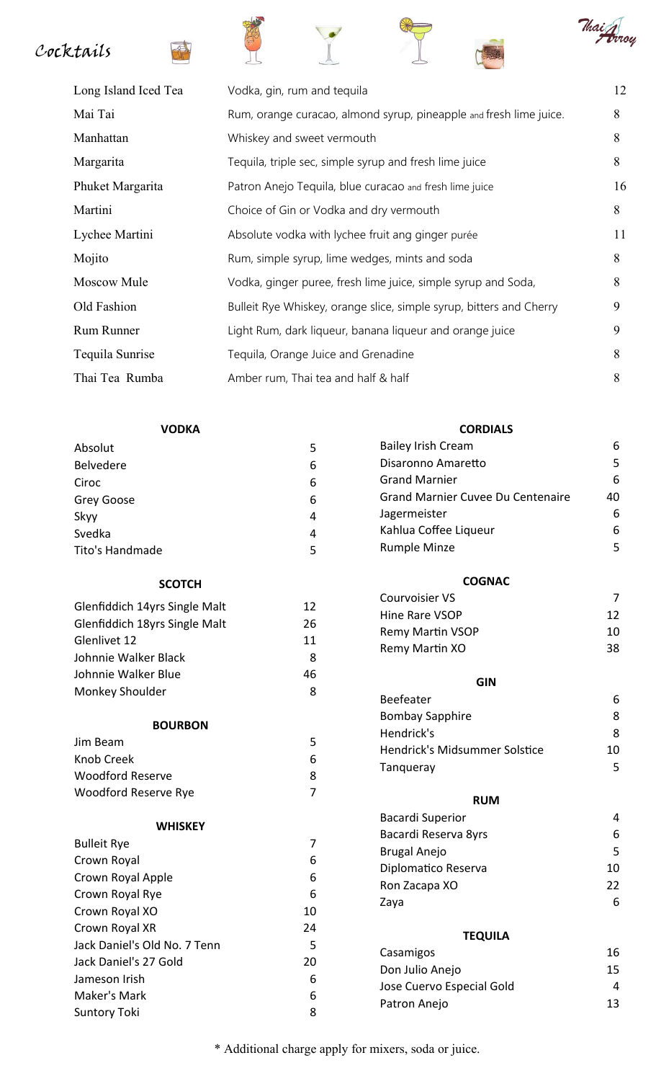# Cocktails









| Long Island Iced Tea | Vodka, gin, rum and tequila                                         | 12 |
|----------------------|---------------------------------------------------------------------|----|
| Mai Tai              | Rum, orange curacao, almond syrup, pineapple and fresh lime juice.  | 8  |
| Manhattan            | Whiskey and sweet vermouth                                          | 8  |
| Margarita            | Tequila, triple sec, simple syrup and fresh lime juice              | 8  |
| Phuket Margarita     | Patron Anejo Tequila, blue curacao and fresh lime juice             | 16 |
| Martini              | Choice of Gin or Vodka and dry vermouth                             | 8  |
| Lychee Martini       | Absolute vodka with lychee fruit ang ginger purée                   | 11 |
| Mojito               | Rum, simple syrup, lime wedges, mints and soda                      | 8  |
| Moscow Mule          | Vodka, ginger puree, fresh lime juice, simple syrup and Soda,       | 8  |
| Old Fashion          | Bulleit Rye Whiskey, orange slice, simple syrup, bitters and Cherry | 9  |
| Rum Runner           | Light Rum, dark liqueur, banana liqueur and orange juice            | 9  |
| Tequila Sunrise      | Tequila, Orange Juice and Grenadine                                 | 8  |
| Thai Tea Rumba       | Amber rum, Thai tea and half & half                                 | 8  |
|                      |                                                                     |    |

| <b>VODKA</b>                  |    | <b>CORDIALS</b>                          |    |  |
|-------------------------------|----|------------------------------------------|----|--|
| Absolut                       | 5  | <b>Bailey Irish Cream</b>                | 6  |  |
| <b>Belvedere</b>              | 6  | Disaronno Amaretto                       | 5  |  |
| Ciroc                         | 6  | <b>Grand Marnier</b>                     | 6  |  |
| Grey Goose                    | 6  | <b>Grand Marnier Cuvee Du Centenaire</b> | 40 |  |
| Skyy                          | 4  | Jagermeister                             | 6  |  |
| Svedka                        | 4  | Kahlua Coffee Liqueur                    | 6  |  |
| Tito's Handmade               | 5  | <b>Rumple Minze</b>                      | 5  |  |
| <b>SCOTCH</b>                 |    | <b>COGNAC</b>                            |    |  |
| Glenfiddich 14yrs Single Malt | 12 | <b>Courvoisier VS</b>                    | 7  |  |
| Glenfiddich 18yrs Single Malt | 26 | Hine Rare VSOP                           | 12 |  |
| Glenlivet 12                  | 11 | <b>Remy Martin VSOP</b>                  | 10 |  |
| Johnnie Walker Black          | 8  | Remy Martin XO                           | 38 |  |
| Johnnie Walker Blue           | 46 |                                          |    |  |
| Monkey Shoulder               | 8  | <b>GIN</b>                               |    |  |
|                               |    | Beefeater                                | 6  |  |
| <b>BOURBON</b>                |    | <b>Bombay Sapphire</b>                   | 8  |  |
| Jim Beam                      | 5  | Hendrick's                               | 8  |  |
| Knob Creek                    | 6  | Hendrick's Midsummer Solstice            | 10 |  |
| <b>Woodford Reserve</b>       | 8  | Tanqueray                                | 5  |  |
| Woodford Reserve Rye          | 7  |                                          |    |  |
|                               |    | <b>RUM</b>                               |    |  |
| <b>WHISKEY</b>                |    | <b>Bacardi Superior</b>                  | 4  |  |
| <b>Bulleit Rye</b>            | 7  | Bacardi Reserva 8yrs                     | 6  |  |
| Crown Royal                   | 6  | <b>Brugal Anejo</b>                      | 5  |  |
| Crown Royal Apple             | 6  | Diplomatico Reserva                      | 10 |  |
| Crown Royal Rye               | 6  | Ron Zacapa XO                            | 22 |  |
| Crown Royal XO                | 10 | Zaya                                     | 6  |  |
| Crown Royal XR                | 24 | <b>TEQUILA</b>                           |    |  |
| Jack Daniel's Old No. 7 Tenn  | 5  | Casamigos                                | 16 |  |
| Jack Daniel's 27 Gold         | 20 | Don Julio Anejo                          | 15 |  |
| Jameson Irish                 | 6  | Jose Cuervo Especial Gold                | 4  |  |
| Maker's Mark                  | 6  | Patron Anejo                             | 13 |  |
| <b>Suntory Toki</b>           | 8  |                                          |    |  |

\* Additional charge apply for mixers, soda or juice.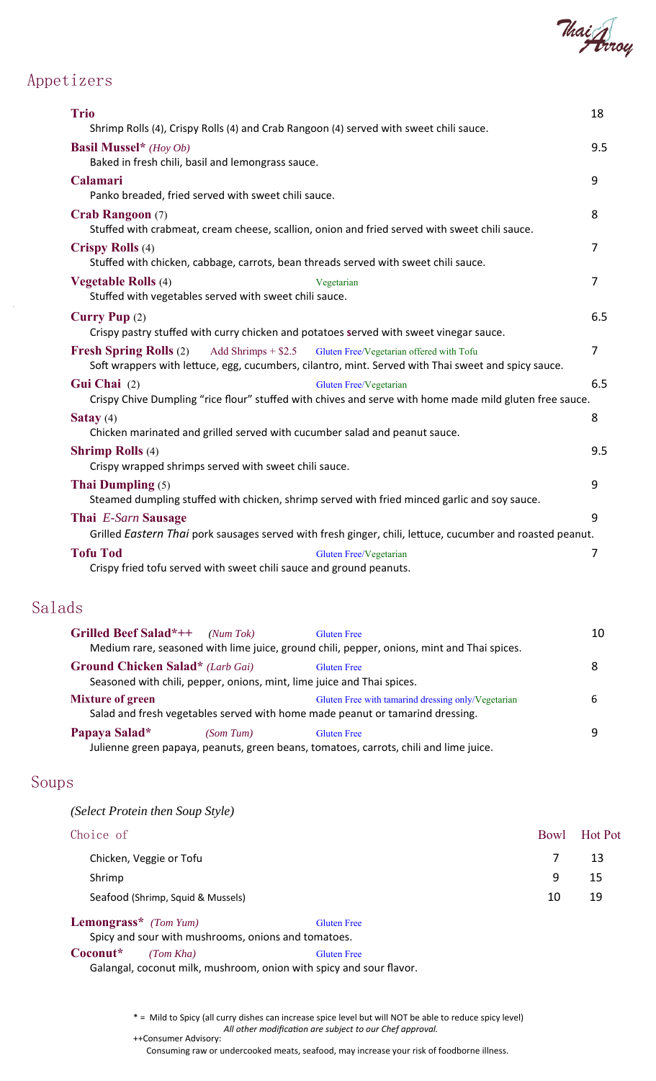

### Appetizers

| <b>Trio</b><br>Shrimp Rolls (4), Crispy Rolls (4) and Crab Rangoon (4) served with sweet chili sauce.          |                                                                                                                                                 | 18             |
|----------------------------------------------------------------------------------------------------------------|-------------------------------------------------------------------------------------------------------------------------------------------------|----------------|
| <b>Basil Mussel</b> * (Hoy Ob)<br>Baked in fresh chili, basil and lemongrass sauce.                            |                                                                                                                                                 | 9.5            |
| Calamari<br>Panko breaded, fried served with sweet chili sauce.                                                |                                                                                                                                                 | 9              |
| <b>Crab Rangoon</b> (7)                                                                                        | Stuffed with crabmeat, cream cheese, scallion, onion and fried served with sweet chili sauce.                                                   | 8              |
| <b>Crispy Rolls</b> (4)<br>Stuffed with chicken, cabbage, carrots, bean threads served with sweet chili sauce. |                                                                                                                                                 | $\overline{7}$ |
| <b>Vegetable Rolls (4)</b><br>Stuffed with vegetables served with sweet chili sauce.                           | Vegetarian                                                                                                                                      | 7              |
| <b>Curry Pup</b> (2)                                                                                           | Crispy pastry stuffed with curry chicken and potatoes served with sweet vinegar sauce.                                                          | 6.5            |
| <b>Fresh Spring Rolls (2)</b><br>Add Shrimps $+$ \$2.5                                                         | Gluten Free/Vegetarian offered with Tofu<br>Soft wrappers with lettuce, egg, cucumbers, cilantro, mint. Served with Thai sweet and spicy sauce. | $\overline{7}$ |
| Gui Chai (2)                                                                                                   | Gluten Free/Vegetarian<br>Crispy Chive Dumpling "rice flour" stuffed with chives and serve with home made mild gluten free sauce.               | 6.5            |
| Satay $(4)$<br>Chicken marinated and grilled served with cucumber salad and peanut sauce.                      |                                                                                                                                                 | 8              |
| <b>Shrimp Rolls</b> (4)<br>Crispy wrapped shrimps served with sweet chili sauce.                               |                                                                                                                                                 | 9.5            |
| <b>Thai Dumpling (5)</b>                                                                                       | Steamed dumpling stuffed with chicken, shrimp served with fried minced garlic and soy sauce.                                                    | 9              |
| Thai E-Sarn Sausage                                                                                            | Grilled Eastern Thai pork sausages served with fresh ginger, chili, lettuce, cucumber and roasted peanut.                                       | 9              |
| <b>Tofu Tod</b><br>Crispy fried tofu served with sweet chili sauce and ground peanuts.                         | Gluten Free/Vegetarian                                                                                                                          | 7              |
|                                                                                                                |                                                                                                                                                 |                |

### Salads

| 10 |
|----|
|    |
| 8  |
|    |
| 6  |
|    |
| q  |
|    |
|    |

### Soups

*(Select Protein then Soup Style)*

| Choice of                                           |                    |   | Bowl Hot Pot |
|-----------------------------------------------------|--------------------|---|--------------|
| Chicken, Veggie or Tofu                             |                    |   | 13           |
| Shrimp                                              |                    | 9 | 15           |
| Seafood (Shrimp, Squid & Mussels)                   |                    |   |              |
| <b>Lemongrass</b> * $(Tom Yum)$                     | <b>Gluten Free</b> |   |              |
| Spicy and sour with mushrooms, onions and tomatoes. |                    |   |              |

 **Coconut\*** *(Tom Kha)* Gluten Free Galangal, coconut milk, mushroom, onion with spicy and sour flavor.

> \* = Mild to Spicy (all curry dishes can increase spice level but will NOT be able to reduce spicy level) *All other modificaƟon are subject to our Chef approval.*

++Consumer Advisory:

Consuming raw or undercooked meats, seafood, may increase your risk of foodborne illness.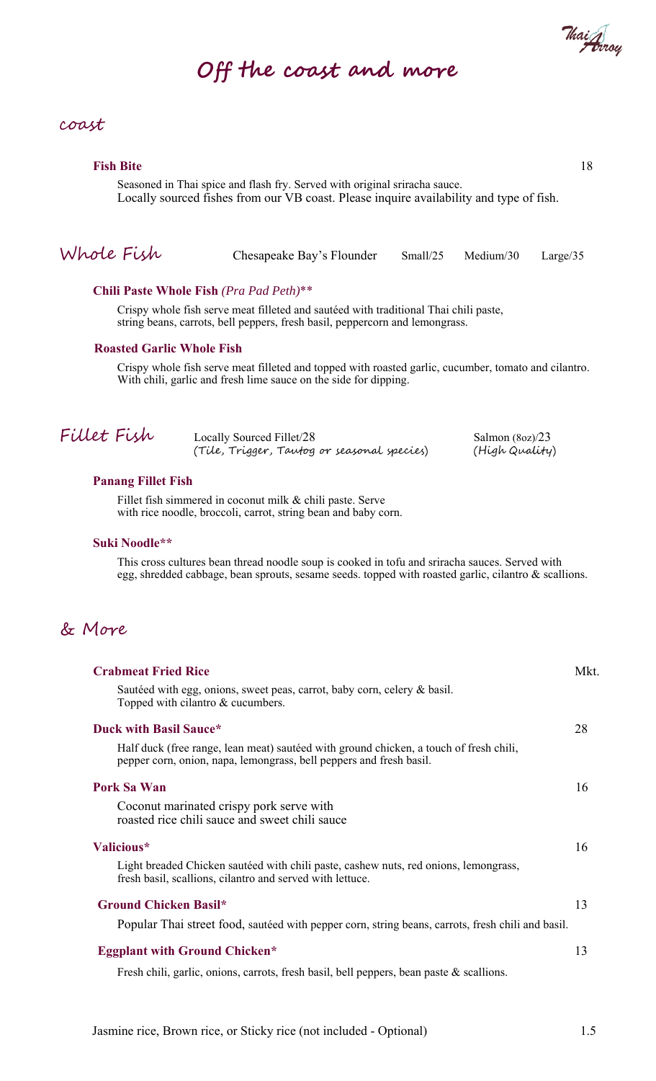# **OՓ the coast and more**

#### coast

|             | <b>Fish Bite</b>              | Seasoned in Thai spice and flash fry. Served with original sriracha sauce.<br>Locally sourced fishes from our VB coast. Please inquire availability and type of fish.                                  | 18   |
|-------------|-------------------------------|--------------------------------------------------------------------------------------------------------------------------------------------------------------------------------------------------------|------|
| Whole Fish  |                               | Chesapeake Bay's Flounder<br>Small $/25$<br>Medium/30<br>Large/35                                                                                                                                      |      |
|             |                               | Chili Paste Whole Fish (Pra Pad Peth)**                                                                                                                                                                |      |
|             |                               | Crispy whole fish serve meat filleted and sautéed with traditional Thai chili paste,<br>string beans, carrots, bell peppers, fresh basil, peppercorn and lemongrass.                                   |      |
|             |                               | <b>Roasted Garlic Whole Fish</b>                                                                                                                                                                       |      |
|             |                               | Crispy whole fish serve meat filleted and topped with roasted garlic, cucumber, tomato and cilantro.<br>With chili, garlic and fresh lime sauce on the side for dipping.                               |      |
| Fillet Fish |                               | Locally Sourced Fillet/28<br>Salmon $(8oz)/23$<br>(High Quality)<br>(Tile, Trigger, Tautog or seasonal species)                                                                                        |      |
|             | <b>Panang Fillet Fish</b>     |                                                                                                                                                                                                        |      |
|             |                               | Fillet fish simmered in coconut milk & chili paste. Serve<br>with rice noodle, broccoli, carrot, string bean and baby corn.                                                                            |      |
|             | Suki Noodle**                 |                                                                                                                                                                                                        |      |
|             |                               | This cross cultures bean thread noodle soup is cooked in tofu and sriracha sauces. Served with<br>egg, shredded cabbage, bean sprouts, sesame seeds. topped with roasted garlic, cilantro & scallions. |      |
| & More      |                               |                                                                                                                                                                                                        |      |
|             | <b>Crabmeat Fried Rice</b>    |                                                                                                                                                                                                        | Mkt. |
|             |                               | Sautéed with egg, onions, sweet peas, carrot, baby corn, celery & basil.<br>Topped with cilantro & cucumbers.                                                                                          |      |
|             | <b>Duck with Basil Sauce*</b> |                                                                                                                                                                                                        | 28   |
|             |                               | Half duck (free range, lean meat) sautéed with ground chicken, a touch of fresh chili,<br>pepper corn, onion, napa, lemongrass, bell peppers and fresh basil.                                          |      |
|             | <b>Pork Sa Wan</b>            |                                                                                                                                                                                                        | 16   |
|             |                               | Coconut marinated crispy pork serve with<br>roasted rice chili sauce and sweet chili sauce                                                                                                             |      |
|             | Valicious*                    |                                                                                                                                                                                                        | 16   |
|             |                               | Light breaded Chicken sautéed with chili paste, cashew nuts, red onions, lemongrass,<br>fresh basil, scallions, cilantro and served with lettuce.                                                      |      |
|             | <b>Ground Chicken Basil*</b>  |                                                                                                                                                                                                        | 13   |
|             |                               | Popular Thai street food, sautéed with pepper corn, string beans, carrots, fresh chili and basil.                                                                                                      |      |
|             |                               | <b>Eggplant with Ground Chicken*</b>                                                                                                                                                                   | 13   |
|             |                               |                                                                                                                                                                                                        |      |

Fresh chili, garlic, onions, carrots, fresh basil, bell peppers, bean paste & scallions.

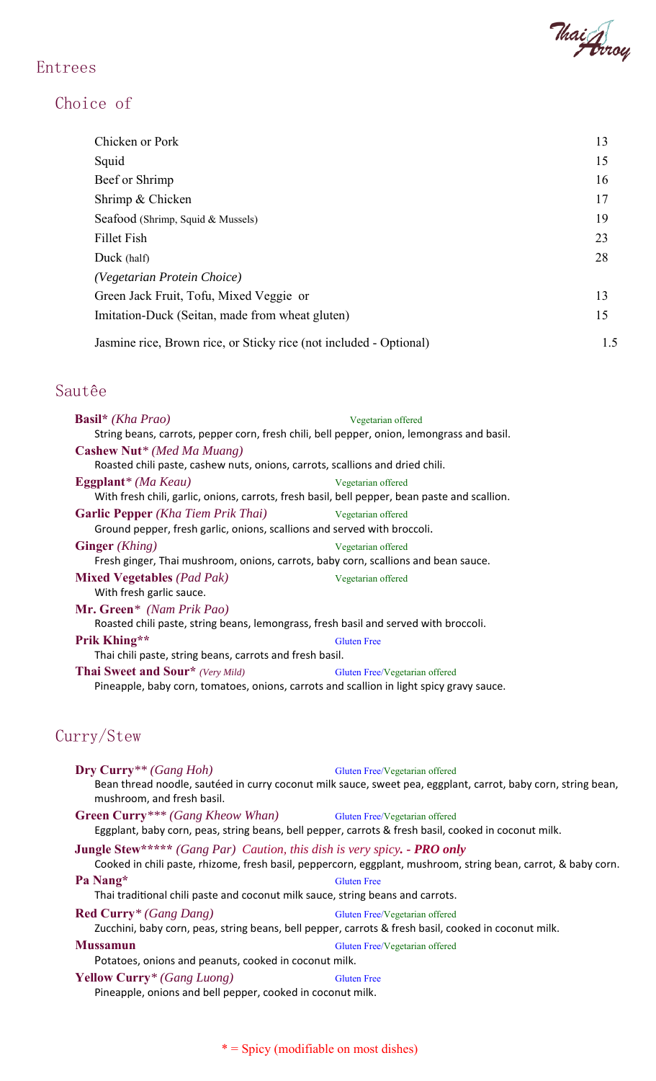Thai<sub>n</sub>

#### Entrees

## Choice of

| Chicken or Pork                                                    | 13  |
|--------------------------------------------------------------------|-----|
| Squid                                                              | 15  |
| Beef or Shrimp                                                     | 16  |
| Shrimp & Chicken                                                   | 17  |
| Seafood (Shrimp, Squid & Mussels)                                  | 19  |
| Fillet Fish                                                        | 23  |
| Duck (half)                                                        | 28  |
| (Vegetarian Protein Choice)                                        |     |
| Green Jack Fruit, Tofu, Mixed Veggie or                            | 13  |
| Imitation-Duck (Seitan, made from wheat gluten)                    | 15  |
| Jasmine rice, Brown rice, or Sticky rice (not included - Optional) | 1.5 |

### Sautêe

| <b>Basil</b> * ( <i>Kha Prao</i> )                                                                                    | Vegetarian offered                                                                                                                              |
|-----------------------------------------------------------------------------------------------------------------------|-------------------------------------------------------------------------------------------------------------------------------------------------|
| Cashew Nut* (Med Ma Muang)                                                                                            | String beans, carrots, pepper corn, fresh chili, bell pepper, onion, lemongrass and basil.                                                      |
| Roasted chili paste, cashew nuts, onions, carrots, scallions and dried chili.                                         |                                                                                                                                                 |
| Eggplant <sup>*</sup> (Ma Keau)                                                                                       | Vegetarian offered                                                                                                                              |
|                                                                                                                       | With fresh chili, garlic, onions, carrots, fresh basil, bell pepper, bean paste and scallion.                                                   |
| <b>Garlic Pepper</b> (Kha Tiem Prik Thai)<br>Ground pepper, fresh garlic, onions, scallions and served with broccoli. | Vegetarian offered                                                                                                                              |
| <b>Ginger</b> (Khing)                                                                                                 | Vegetarian offered                                                                                                                              |
| Fresh ginger, Thai mushroom, onions, carrots, baby corn, scallions and bean sauce.                                    |                                                                                                                                                 |
| <b>Mixed Vegetables (Pad Pak)</b><br>With fresh garlic sauce.                                                         | Vegetarian offered                                                                                                                              |
| Mr. Green* (Nam Prik Pao)                                                                                             |                                                                                                                                                 |
| Roasted chili paste, string beans, lemongrass, fresh basil and served with broccoli.                                  |                                                                                                                                                 |
| Prik Khing**                                                                                                          | <b>Gluten Free</b>                                                                                                                              |
| Thai chili paste, string beans, carrots and fresh basil.                                                              |                                                                                                                                                 |
| Thai Sweet and Sour* (Very Mild)                                                                                      |                                                                                                                                                 |
|                                                                                                                       | Gluten Free/Vegetarian offered                                                                                                                  |
| Curry/Stew                                                                                                            | Pineapple, baby corn, tomatoes, onions, carrots and scallion in light spicy gravy sauce.                                                        |
| Dry Curry** (Gang Hoh)<br>mushroom, and fresh basil.                                                                  | Gluten Free/Vegetarian offered<br>Bean thread noodle, sautéed in curry coconut milk sauce, sweet pea, eggplant, carrot, baby corn, string bean, |
| <b>Green Curry</b> *** (Gang Kheow Whan)                                                                              | Gluten Free/Vegetarian offered<br>Eggplant, baby corn, peas, string beans, bell pepper, carrots & fresh basil, cooked in coconut milk.          |
| <b>Jungle Stew*****</b> (Gang Par) Caution, this dish is very spicy. - PRO only                                       |                                                                                                                                                 |
| Pa Nang*<br>Thai traditional chili paste and coconut milk sauce, string beans and carrots.                            | Cooked in chili paste, rhizome, fresh basil, peppercorn, eggplant, mushroom, string bean, carrot, & baby corn.<br><b>Gluten Free</b>            |
| <b>Red Curry</b> * (Gang Dang)                                                                                        | Gluten Free/Vegetarian offered<br>Zucchini, baby corn, peas, string beans, bell pepper, carrots & fresh basil, cooked in coconut milk.          |
| <b>Mussamun</b>                                                                                                       |                                                                                                                                                 |
| Potatoes, onions and peanuts, cooked in coconut milk.                                                                 | Gluten Free/Vegetarian offered                                                                                                                  |
| <b>Yellow Curry</b> * (Gang Luong)                                                                                    | <b>Gluten Free</b>                                                                                                                              |

\* = Spicy (modifiable on most dishes)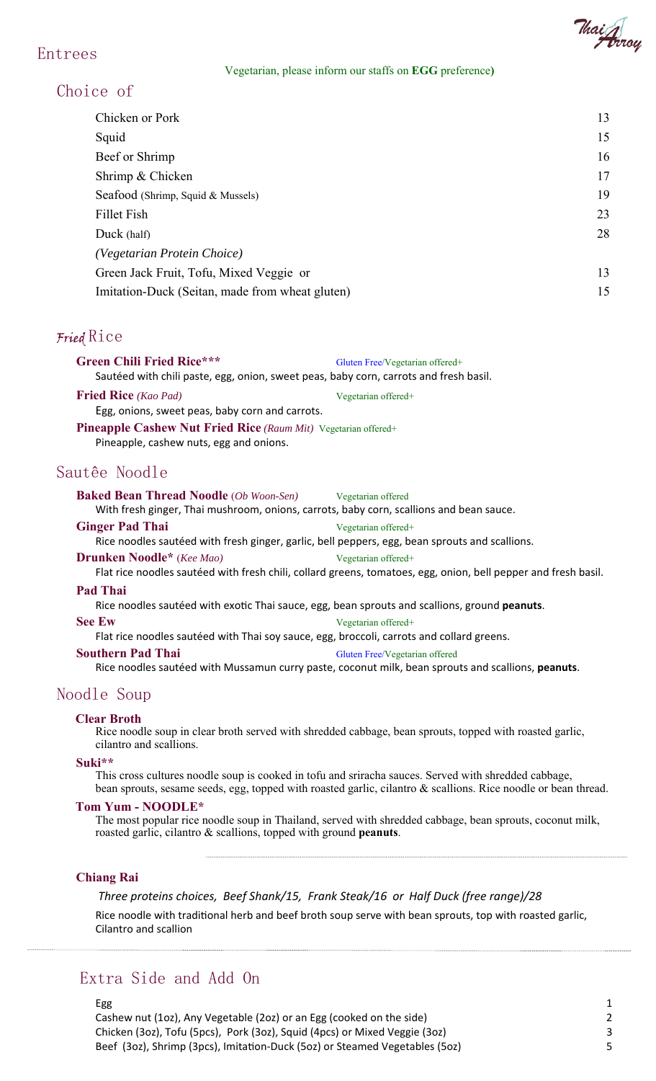#### Entrees



#### Choice of

| Chicken or Pork                                 | 13 |
|-------------------------------------------------|----|
| Squid                                           | 15 |
| Beef or Shrimp                                  | 16 |
| Shrimp & Chicken                                | 17 |
| Seafood (Shrimp, Squid & Mussels)               | 19 |
| Fillet Fish                                     | 23 |
| Duck (half)                                     | 28 |
| (Vegetarian Protein Choice)                     |    |
| Green Jack Fruit, Tofu, Mixed Veggie or         | 13 |
| Imitation-Duck (Seitan, made from wheat gluten) | 15 |
|                                                 |    |

#### Fried Rice

| <b>Green Chili Fried Rice***</b>                                      | Gluten Free/Vegetarian offered+                                                       |
|-----------------------------------------------------------------------|---------------------------------------------------------------------------------------|
|                                                                       | Sautéed with chili paste, egg, onion, sweet peas, baby corn, carrots and fresh basil. |
| <b>Fried Rice</b> (Kao Pad)                                           | Vegetarian offered+                                                                   |
| Egg, onions, sweet peas, baby corn and carrots.                       |                                                                                       |
| <b>Pineapple Cashew Nut Fried Rice</b> (Raum Mit) Vegetarian offered+ |                                                                                       |
| Pineapple, cashew nuts, egg and onions.                               |                                                                                       |

#### Sautêe Noodle

| <b>Baked Bean Thread Noodle</b> (Ob Woon-Sen) | Vegetarian offered                                                                         |
|-----------------------------------------------|--------------------------------------------------------------------------------------------|
|                                               | With fresh ginger, Thai mushroom, onions, carrots, baby corn, scallions and bean sauce.    |
| <b>Ginger Pad Thai</b>                        | Vegetarian offered+                                                                        |
|                                               | Rice noodles sautéed with fresh ginger, garlic, hell nenners, egg, hean sprouts and scalli |

Rice noodles sautéed with fresh ginger, garlic, bell peppers, egg, bean sprouts and scallions.

 **Drunken Noodle\*** (*Kee Mao)* Vegetarian offered+

Flat rice noodles sautéed with fresh chili, collard greens, tomatoes, egg, onion, bell pepper and fresh basil.

#### **Pad Thai**

Rice noodles sautéed with exoƟc Thai sauce, egg, bean sprouts and scallions, ground **peanuts**.

#### **See Ew** Vegetarian offered+

Flat rice noodles sautéed with Thai soy sauce, egg, broccoli, carrots and collard greens.

#### **Southern Pad Thai** Gluten Free/Vegetarian offered

Rice noodles sautéed with Mussamun curry paste, coconut milk, bean sprouts and scallions, **peanuts**.

#### Noodle Soup

 **Clear Broth** Rice noodle soup in clear broth served with shredded cabbage, bean sprouts, topped with roasted garlic, cilantro and scallions.

 **Suki\*\*** This cross cultures noodle soup is cooked in tofu and sriracha sauces. Served with shredded cabbage, bean sprouts, sesame seeds, egg, topped with roasted garlic, cilantro & scallions. Rice noodle or bean thread.

**Tom Yum - NOODLE\*** The most popular rice noodle soup in Thailand, served with shredded cabbage, bean sprouts, coconut milk, roasted garlic, cilantro & scallions, topped with ground **peanuts**.

#### **Chiang Rai**

*Three proteins choices, Beef Shank/15, Frank Steak/16 or Half Duck (free range)/28*

Rice noodle with traditional herb and beef broth soup serve with bean sprouts, top with roasted garlic, Cilantro and scallion

#### Extra Side and Add On

 $Egg$  and the contract of  $\sim$  1 Cashew nut (1oz), Any Vegetable (2oz) or an Egg (cooked on the side) 2 Chicken (3oz), Tofu (5pcs), Pork (3oz), Squid (4pcs) or Mixed Veggie (3oz) 3 Beef (3oz), Shrimp (3pcs), Imitation-Duck (5oz) or Steamed Vegetables (5oz) 5